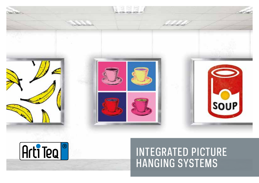



## INTEGRATED PICTURE HANGING SYSTEMS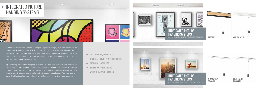## $\blacktriangleright$  INTEGRATED PICTURE HANGING SYSTEMS







Artiteq has developed a series of integrated picture hanging systems, which can be integrated in combination with recessed ceilings or plasterboard ceilings during new-build or renovations. The rail is integrated while the ceilings are being installed. These systems offer huge advantages to end users, with a hanging system becoming available throughout the entire space.

- CUSTOMER REQUIREMENTS TRANSLATED INTO PERFECT PROJECTS
- OPTIMUM EASE OF USE
- SIMPLE PICTURE HANGING

By selecting integrated hanging systems you set the standard for perfection. Combining picture hanging systems with recessed ceilings or plasterboard ceilings creates rooms with walls that can be designed flexibly and easily. And also for the long term, without damage to walls and without additional costs. This also results in considerable steps towards sustainable building management and cost savings.

WITHOUT DAMAGE TO WALLS











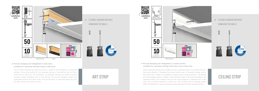

 $\blacktriangleright$  Picture hanging rail integrated in side strip suitable for recessed ceilings using a side strip

### **ELEXIBLE HANGING WITHOUT** DAMAGING THE WALLS



The Art Strip replaces the side strip which is used for the installation of recessed ceilings. The corner profile for the recessed ceiling is mounted to the Art Strip. Using the Art Strip for the installation of recessed ceilings, will make a picture hanging system available next to the ceiling. The picture hanging system will guarantee smooth and clean walls, and the flexibility to decorate them any way you like, without the need for tools.

# ART STRIP

TUV NORD



WHITE RAL 9010

When recessed ceilings are installed during a building project, the Ceiling Strip offers many benefits. It replaces the corner profile used in recessed ceilings, and at the same time, creates a completely invisible picture hanging system. The flexible picture hanging system is hidden in the discreet shadow line along the edge of the recessed ceiling. This shadow line can also camouflage any imperfections in the wall, such as those masked by a side strip. The invisible picture hanging system offers the flexibility to quickly and easily hang paintings and other wall decorations.



Picture hanging rail integrated in corner profile suitable for recessed ceilings that don't use a side strip

## CEILING STRIP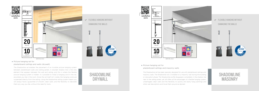# FLEXIBLE HANGING WITHOUT DAMAGING THE WALLS





### ▶ Picture hanging rail for

### **ELEXIBLE HANGING WITHOUT** DAMAGING THE WALLS



The Shadowline rail enables the placement of an invisible picture hanging system between plasterboard walls and ceiling panels. A discreet shadow line is the only element that appears between the wall and ceiling, and this is where the flexible picture hanging system is hidden. It is possible to install a hanging cord in the rail, anywhere you like in the room. Since the rail itself isn't visible, the hanging cords are suspended directly from the ceiling. Using the Shadowline ceiling system means you will always have a guarantee of smooth, clean walls, and the flexibility to decorate them any way you like, without the need for tools.

### $\blacktriangleright$  Picture hanging rail for plasterboard ceilings and masonry walls

#### plasterboard ceilings and walls (drywall)

### SHADOWLINE DRYWALL



The Shadowline rail has been specially designed for use with plasterboard ceilings and masonry walls. The Shadowline rail is installed on a masonry wall during the building or renovation phase. The Shadowline profile disappears completely in the shadow line next to the ceiling panels, yet still offers all the advantages of a flexible hanging system: undamaged, clean walls and the flexibility to quickly and easily hang paintings and other wall decorations and move them around as desired.



### SHADOWLINE MASONRY